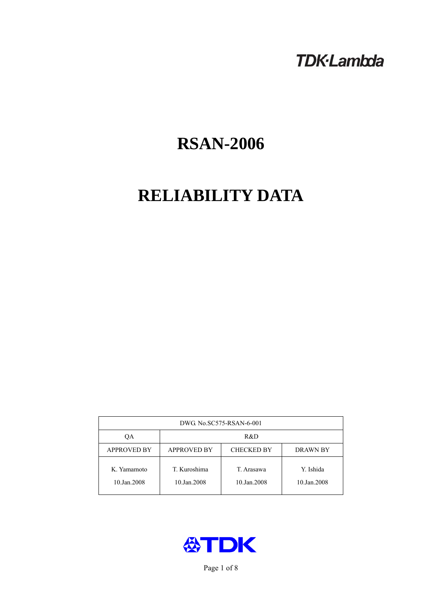## **TDK-Lambda**

# **RSAN-2006**

# **RELIABILITY DATA**

| DWG No.SC575-RSAN-6-001    |                                                            |                           |                          |  |  |
|----------------------------|------------------------------------------------------------|---------------------------|--------------------------|--|--|
| QA                         | R&D                                                        |                           |                          |  |  |
| <b>APPROVED BY</b>         | <b>APPROVED BY</b><br><b>CHECKED BY</b><br><b>DRAWN BY</b> |                           |                          |  |  |
| K. Yamamoto<br>10.Jan.2008 | T. Kuroshima<br>10.Jan.2008                                | T. Arasawa<br>10.Jan.2008 | Y. Ishida<br>10.Jan.2008 |  |  |



Page 1 of 8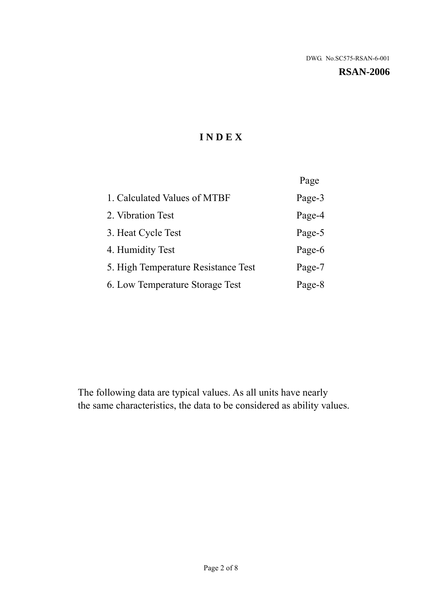**RSAN-2006** 

## **I N D E X**

|                                     | Page   |
|-------------------------------------|--------|
| 1. Calculated Values of MTBF        | Page-3 |
| 2. Vibration Test                   | Page-4 |
| 3. Heat Cycle Test                  | Page-5 |
| 4. Humidity Test                    | Page-6 |
| 5. High Temperature Resistance Test | Page-7 |
| 6. Low Temperature Storage Test     | Page-8 |

The following data are typical values. As all units have nearly the same characteristics, the data to be considered as ability values.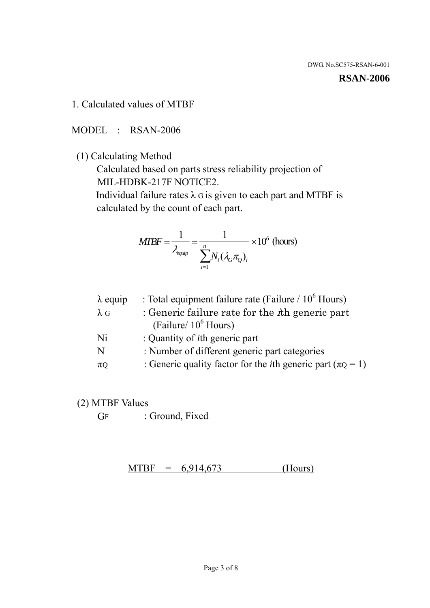#### **RSAN-2006**

1. Calculated values of MTBF

MODEL : RSAN-2006

(1) Calculating Method

 Calculated based on parts stress reliability projection of MIL-HDBK-217F NOTICE2.

Individual failure rates  $\lambda$  G is given to each part and MTBF is calculated by the count of each part.

$$
MTBF = \frac{1}{\lambda_{\text{equip}}} = \frac{1}{\sum_{i=1}^{n} N_i (\lambda_G \pi_Q)_i} \times 10^6 \text{ (hours)}
$$

| : Total equipment failure rate (Failure / $10^6$ Hours)                   |
|---------------------------------------------------------------------------|
| : Generic failure rate for the $\hbar$ generic part                       |
| (Failure/ $10^6$ Hours)                                                   |
| : Quantity of <i>i</i> th generic part                                    |
| : Number of different generic part categories                             |
| : Generic quality factor for the <i>i</i> th generic part ( $\pi Q = 1$ ) |
|                                                                           |

- (2) MTBF Values
	- GF : Ground, Fixed

 $MTBF = 6,914,673$  (Hours)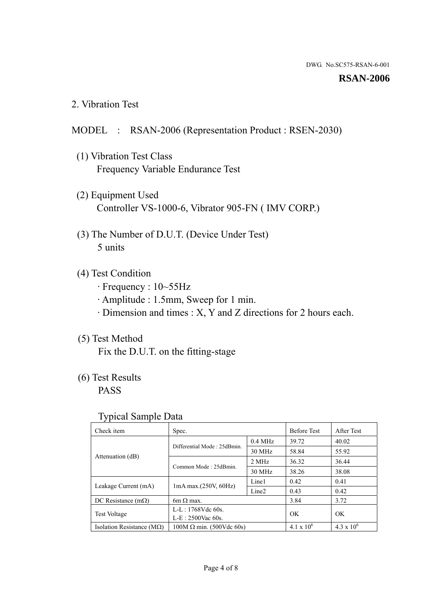#### **RSAN-2006**

2. Vibration Test

### MODEL : RSAN-2006 (Representation Product : RSEN-2030)

- (1) Vibration Test Class Frequency Variable Endurance Test
- (2) Equipment Used Controller VS-1000-6, Vibrator 905-FN ( IMV CORP.)
- (3) The Number of D.U.T. (Device Under Test) 5 units
- (4) Test Condition
	- · Frequency : 10~55Hz
	- · Amplitude : 1.5mm, Sweep for 1 min.
	- · Dimension and times : X, Y and Z directions for 2 hours each.

### (5) Test Method

Fix the D.U.T. on the fitting-stage

## (6) Test Results

PASS

#### Typical Sample Data

| . .                           |                                                         |           |                     |                     |
|-------------------------------|---------------------------------------------------------|-----------|---------------------|---------------------|
| Check item                    | Spec.                                                   |           | <b>Before Test</b>  | After Test          |
|                               | Differential Mode: 25dBmin.                             | $0.4$ MHz | 39.72               | 40.02               |
|                               |                                                         | 30 MHz    | 58.84               | 55.92               |
| Attenuation (dB)              | Common Mode: 25dBmin.                                   | 2 MHz     | 36.32               | 36.44               |
|                               |                                                         | 30 MHz    | 38.26               | 38.08               |
| Leakage Current (mA)          | Line1<br>$1mA$ max. $(250V, 60Hz)$<br>Line <sub>2</sub> |           | 0.42                | 0.41                |
|                               |                                                         |           | 0.43                | 0.42                |
| DC Resistance $(m\Omega)$     | 6m $\Omega$ max.                                        |           | 3.84                | 3.72                |
| <b>Test Voltage</b>           | $L-L: 1768Vdc$ 60s.                                     |           | OK                  | OK.                 |
|                               | $L-E$ : 2500Vac 60s.                                    |           |                     |                     |
| Isolation Resistance ( $MQ$ ) | $100M \Omega$ min. (500Vdc 60s)                         |           | $4.1 \times 10^{6}$ | $4.3 \times 10^{6}$ |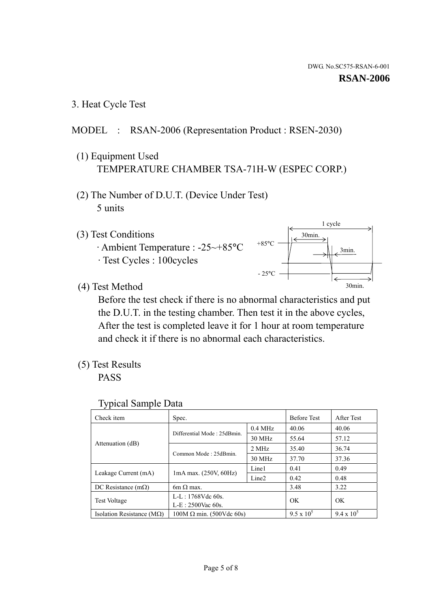3. Heat Cycle Test

## MODEL : RSAN-2006 (Representation Product : RSEN-2030)

- (1) Equipment Used TEMPERATURE CHAMBER TSA-71H-W (ESPEC CORP.)
- (2) The Number of D.U.T. (Device Under Test) 5 units
- (3) Test Conditions
	- · Ambient Temperature : -25~+85°C · Test Cycles : 100cycles



(4) Test Method

 Before the test check if there is no abnormal characteristics and put the D.U.T. in the testing chamber. Then test it in the above cycles, After the test is completed leave it for 1 hour at room temperature and check it if there is no abnormal each characteristics.

(5) Test Results

PASS

| <b>Typical Sample Data</b> |  |  |
|----------------------------|--|--|
|----------------------------|--|--|

| Check item                    | Spec.                           |                   | <b>Before Test</b> | After Test        |
|-------------------------------|---------------------------------|-------------------|--------------------|-------------------|
|                               |                                 | $0.4$ MHz         | 40.06              | 40.06             |
|                               | Differential Mode: 25dBmin.     | 30 MHz            | 55.64              | 57.12             |
| Attenuation (dB)              | Common Mode: 25dBmin.           | 2 MHz             | 35.40              | 36.74             |
|                               |                                 | 30 MHz            | 37.70              | 37.36             |
| Leakage Current (mA)          | $1mA$ max. $(250V, 60Hz)$       | Line1             | 0.41               | 0.49              |
|                               |                                 | Line <sub>2</sub> | 0.42               | 0.48              |
| DC Resistance $(m\Omega)$     | $6m \Omega$ max.                |                   | 3.48               | 3.22              |
| <b>Test Voltage</b>           | L-L: $1768V$ de $60s$ .         |                   | OK                 | OK                |
|                               | $L-E: 2500$ Vac 60s.            |                   |                    |                   |
| Isolation Resistance ( $MQ$ ) | $100M \Omega$ min. (500Vdc 60s) |                   | $9.5 \times 10^5$  | $9.4 \times 10^5$ |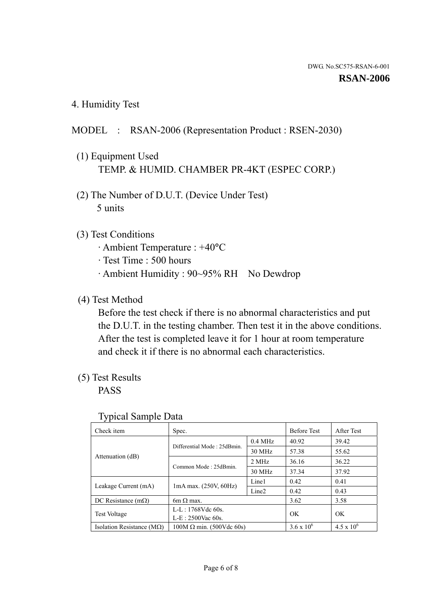4. Humidity Test

### MODEL : RSAN-2006 (Representation Product : RSEN-2030)

- (1) Equipment Used TEMP. & HUMID. CHAMBER PR-4KT (ESPEC CORP.)
- (2) The Number of D.U.T. (Device Under Test) 5 units

### (3) Test Conditions

- · Ambient Temperature : +40°C
- · Test Time : 500 hours
- · Ambient Humidity : 90~95% RH No Dewdrop

### (4) Test Method

 Before the test check if there is no abnormal characteristics and put the D.U.T. in the testing chamber. Then test it in the above conditions. After the test is completed leave it for 1 hour at room temperature and check it if there is no abnormal each characteristics.

### (5) Test Results

PASS

| . .                                |                                 |                   |                     |                     |
|------------------------------------|---------------------------------|-------------------|---------------------|---------------------|
| Check item                         | Spec.                           |                   | <b>Before Test</b>  | After Test          |
|                                    | Differential Mode: 25dBmin.     | $0.4$ MHz         | 40.92               | 39.42               |
|                                    |                                 | 30 MHz            | 57.38               | 55.62               |
| Attenuation (dB)                   | Common Mode: 25dBmin.           | 2 MHz             | 36.16               | 36.22               |
|                                    |                                 | 30 MHz            | 37.34               | 37.92               |
| Leakage Current (mA)               | $1mA$ max. $(250V, 60Hz)$       | Line1             | 0.42                | 0.41                |
|                                    |                                 | Line <sub>2</sub> | 0.42                | 0.43                |
| DC Resistance $(m\Omega)$          | $6m \Omega$ max.                |                   | 3.62                | 3.58                |
| <b>Test Voltage</b>                | $L-L: 1768Vdc$ 60s.             |                   | OK                  | OK                  |
|                                    | $L-E$ : 2500Vac 60s.            |                   |                     |                     |
| Isolation Resistance ( $M\Omega$ ) | $100M \Omega$ min. (500Vdc 60s) |                   | $3.6 \times 10^{6}$ | $4.5 \times 10^{6}$ |

#### Typical Sample Data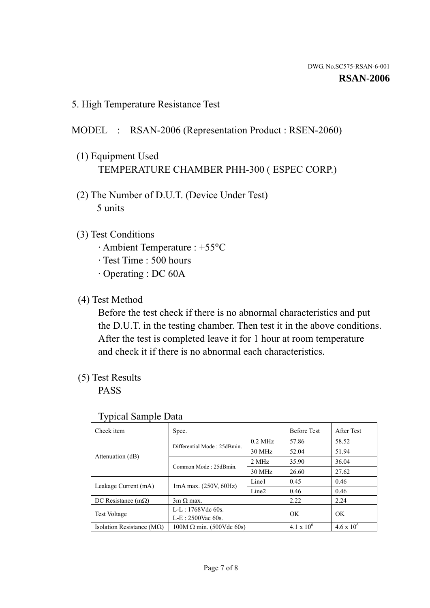5. High Temperature Resistance Test

## MODEL : RSAN-2006 (Representation Product : RSEN-2060)

- (1) Equipment Used TEMPERATURE CHAMBER PHH-300 ( ESPEC CORP.)
- (2) The Number of D.U.T. (Device Under Test) 5 units
- (3) Test Conditions
	- · Ambient Temperature : +55°C
	- · Test Time : 500 hours
	- · Operating : DC 60A
- (4) Test Method

 Before the test check if there is no abnormal characteristics and put the D.U.T. in the testing chamber. Then test it in the above conditions. After the test is completed leave it for 1 hour at room temperature and check it if there is no abnormal each characteristics.

(5) Test Results

PASS

| ┙┸                                 |                                 |                   |                     |                     |
|------------------------------------|---------------------------------|-------------------|---------------------|---------------------|
| Check item                         | Spec.                           |                   | <b>Before Test</b>  | After Test          |
|                                    | Differential Mode: 25dBmin.     | $0.2$ MHz         | 57.86               | 58.52               |
|                                    |                                 | 30 MHz            | 52.04               | 51.94               |
| Attenuation (dB)                   | Common Mode: 25dBmin.           | 2 MHz             | 35.90               | 36.04               |
|                                    |                                 | 30 MHz            | 26.60               | 27.62               |
| Leakage Current (mA)               | $1mA$ max. $(250V, 60Hz)$       | Line1             | 0.45                | 0.46                |
|                                    |                                 | Line <sub>2</sub> | 0.46                | 0.46                |
| DC Resistance $(m\Omega)$          | $3m \Omega$ max.                |                   | 2.22                | 2.24                |
| <b>Test Voltage</b>                | $L-L: 1768Vdc$ 60s.             |                   | OK                  | OK                  |
|                                    | $L-E: 2500$ Vac 60s.            |                   |                     |                     |
| Isolation Resistance ( $M\Omega$ ) | $100M \Omega$ min. (500Vdc 60s) |                   | $4.1 \times 10^{6}$ | $4.6 \times 10^{6}$ |

#### Typical Sample Data